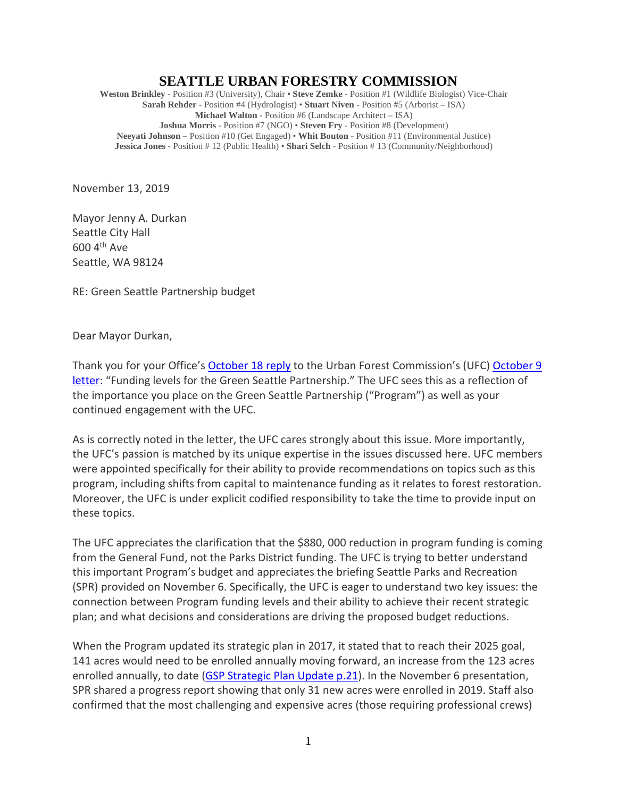## **SEATTLE URBAN FORESTRY COMMISSION**

**Weston Brinkley** - Position #3 (University), Chair • **Steve Zemke** - Position #1 (Wildlife Biologist) Vice-Chair **Sarah Rehder** - Position #4 (Hydrologist) • **Stuart Niven** - Position #5 (Arborist – ISA) **Michael Walton** - Position #6 (Landscape Architect – ISA) **Joshua Morris** - Position #7 (NGO) • **Steven Fry** - Position #8 (Development) **Neeyati Johnson –** Position #10 (Get Engaged) • **Whit Bouton** - Position #11 (Environmental Justice) **Jessica Jones** - Position # 12 (Public Health) • **Shari Selch** - Position # 13 (Community/Neighborhood)

November 13, 2019

Mayor Jenny A. Durkan Seattle City Hall 600 4th Ave Seattle, WA 98124

RE: Green Seattle Partnership budget

Dear Mayor Durkan,

Thank you for your Office's [October 18](http://www.seattle.gov/Documents/Departments/UrbanForestryCommission/FinalIssuedDocuments/Recommendations/10.18.19UFCgspBudgetLetterMayorResponse.pdf) reply to the Urban Forest Commission's (UFC) [October 9](http://www.seattle.gov/Documents/Departments/UrbanForestryCommission/Waht%20we%20do%20-%20Recomms/ADOPTEDGSPfunding100919.pdf)  [letter:](http://www.seattle.gov/Documents/Departments/UrbanForestryCommission/Waht%20we%20do%20-%20Recomms/ADOPTEDGSPfunding100919.pdf) "Funding levels for the Green Seattle Partnership." The UFC sees this as a reflection of the importance you place on the Green Seattle Partnership ("Program") as well as your continued engagement with the UFC.

As is correctly noted in the letter, the UFC cares strongly about this issue. More importantly, the UFC's passion is matched by its unique expertise in the issues discussed here. UFC members were appointed specifically for their ability to provide recommendations on topics such as this program, including shifts from capital to maintenance funding as it relates to forest restoration. Moreover, the UFC is under explicit codified responsibility to take the time to provide input on these topics.

The UFC appreciates the clarification that the \$880, 000 reduction in program funding is coming from the General Fund, not the Parks District funding. The UFC is trying to better understand this important Program's budget and appreciates the briefing Seattle Parks and Recreation (SPR) provided on November 6. Specifically, the UFC is eager to understand two key issues: the connection between Program funding levels and their ability to achieve their recent strategic plan; and what decisions and considerations are driving the proposed budget reductions.

When the Program updated its strategic plan in 2017, it stated that to reach their 2025 goal, 141 acres would need to be enrolled annually moving forward, an increase from the 123 acres enrolled annually, to date [\(GSP Strategic Plan Update p.21\)](https://www.greenseattle.org/wp-content/uploads/2018/01/GSP-Strategic-Plan-Update-01.19.18-reduced-file-size.pdf). In the November 6 presentation, SPR shared a progress report showing that only 31 new acres were enrolled in 2019. Staff also confirmed that the most challenging and expensive acres (those requiring professional crews)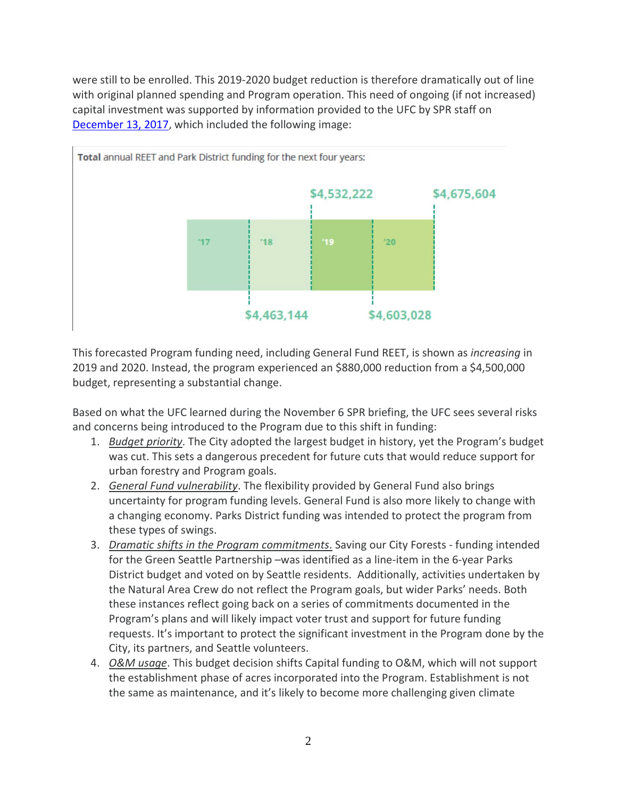were still to be enrolled. This 2019-2020 budget reduction is therefore dramatically out of line with original planned spending and Program operation. This need of ongoing (if not increased) capital investment was supported by information provided to the UFC by SPR staff on [December 13, 2017,](http://www.seattle.gov/Documents/Departments/UrbanForestryCommission/2017/2017docs/GSPPlanUpdateUFCPreso121317.pdf) which included the following image:



This forecasted Program funding need, including General Fund REET, is shown as *increasing* in 2019 and 2020. Instead, the program experienced an \$880,000 reduction from a \$4,500,000 budget, representing a substantial change.

Based on what the UFC learned during the November 6 SPR briefing, the UFC sees several risks and concerns being introduced to the Program due to this shift in funding:

- 1. *Budget priority*. The City adopted the largest budget in history, yet the Program's budget was cut. This sets a dangerous precedent for future cuts that would reduce support for urban forestry and Program goals.
- 2. *General Fund vulnerability*. The flexibility provided by General Fund also brings uncertainty for program funding levels. General Fund is also more likely to change with a changing economy. Parks District funding was intended to protect the program from these types of swings.
- 3. *Dramatic shifts in the Program commitments*. Saving our City Forests funding intended for the Green Seattle Partnership –was identified as a line-item in the 6-year Parks District budget and voted on by Seattle residents. Additionally, activities undertaken by the Natural Area Crew do not reflect the Program goals, but wider Parks' needs. Both these instances reflect going back on a series of commitments documented in the Program's plans and will likely impact voter trust and support for future funding requests. It's important to protect the significant investment in the Program done by the City, its partners, and Seattle volunteers.
- 4. *O&M usage*. This budget decision shifts Capital funding to O&M, which will not support the establishment phase of acres incorporated into the Program. Establishment is not the same as maintenance, and it's likely to become more challenging given climate